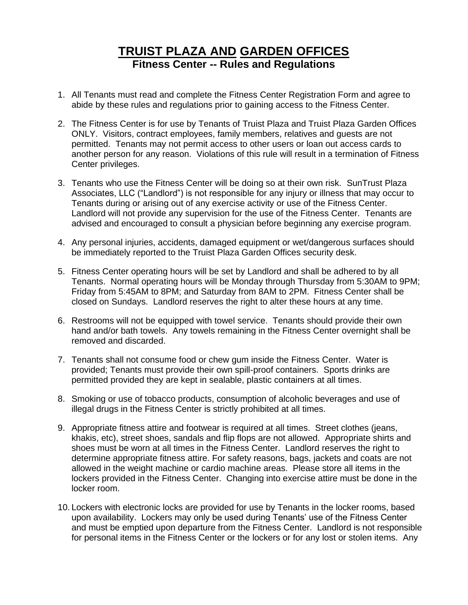# **TRUIST PLAZA AND GARDEN OFFICES Fitness Center -- Rules and Regulations**

- 1. All Tenants must read and complete the Fitness Center Registration Form and agree to abide by these rules and regulations prior to gaining access to the Fitness Center.
- 2. The Fitness Center is for use by Tenants of Truist Plaza and Truist Plaza Garden Offices ONLY. Visitors, contract employees, family members, relatives and guests are not permitted. Tenants may not permit access to other users or loan out access cards to another person for any reason. Violations of this rule will result in a termination of Fitness Center privileges.
- 3. Tenants who use the Fitness Center will be doing so at their own risk. SunTrust Plaza Associates, LLC ("Landlord") is not responsible for any injury or illness that may occur to Tenants during or arising out of any exercise activity or use of the Fitness Center. Landlord will not provide any supervision for the use of the Fitness Center. Tenants are advised and encouraged to consult a physician before beginning any exercise program.
- 4. Any personal injuries, accidents, damaged equipment or wet/dangerous surfaces should be immediately reported to the Truist Plaza Garden Offices security desk.
- 5. Fitness Center operating hours will be set by Landlord and shall be adhered to by all Tenants. Normal operating hours will be Monday through Thursday from 5:30AM to 9PM; Friday from 5:45AM to 8PM; and Saturday from 8AM to 2PM. Fitness Center shall be closed on Sundays. Landlord reserves the right to alter these hours at any time.
- 6. Restrooms will not be equipped with towel service. Tenants should provide their own hand and/or bath towels. Any towels remaining in the Fitness Center overnight shall be removed and discarded.
- 7. Tenants shall not consume food or chew gum inside the Fitness Center. Water is provided; Tenants must provide their own spill-proof containers. Sports drinks are permitted provided they are kept in sealable, plastic containers at all times.
- 8. Smoking or use of tobacco products, consumption of alcoholic beverages and use of illegal drugs in the Fitness Center is strictly prohibited at all times.
- 9. Appropriate fitness attire and footwear is required at all times. Street clothes (jeans, khakis, etc), street shoes, sandals and flip flops are not allowed. Appropriate shirts and shoes must be worn at all times in the Fitness Center. Landlord reserves the right to determine appropriate fitness attire. For safety reasons, bags, jackets and coats are not allowed in the weight machine or cardio machine areas. Please store all items in the lockers provided in the Fitness Center. Changing into exercise attire must be done in the locker room.
- 10. Lockers with electronic locks are provided for use by Tenants in the locker rooms, based upon availability. Lockers may only be used during Tenants' use of the Fitness Center and must be emptied upon departure from the Fitness Center. Landlord is not responsible for personal items in the Fitness Center or the lockers or for any lost or stolen items. Any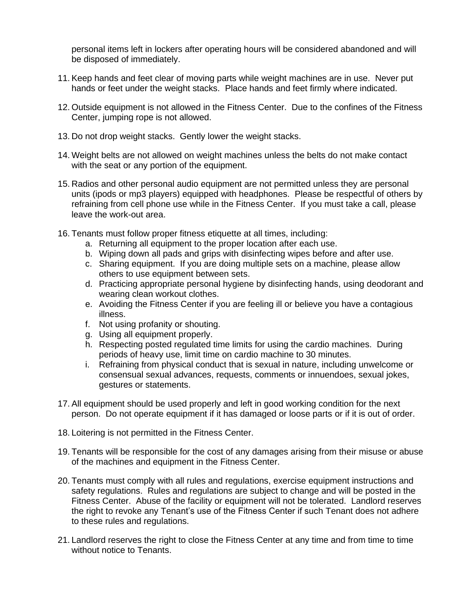personal items left in lockers after operating hours will be considered abandoned and will be disposed of immediately.

- 11. Keep hands and feet clear of moving parts while weight machines are in use. Never put hands or feet under the weight stacks. Place hands and feet firmly where indicated.
- 12. Outside equipment is not allowed in the Fitness Center. Due to the confines of the Fitness Center, jumping rope is not allowed.
- 13. Do not drop weight stacks. Gently lower the weight stacks.
- 14. Weight belts are not allowed on weight machines unless the belts do not make contact with the seat or any portion of the equipment.
- 15. Radios and other personal audio equipment are not permitted unless they are personal units (ipods or mp3 players) equipped with headphones. Please be respectful of others by refraining from cell phone use while in the Fitness Center. If you must take a call, please leave the work-out area.
- 16. Tenants must follow proper fitness etiquette at all times, including:
	- a. Returning all equipment to the proper location after each use.
	- b. Wiping down all pads and grips with disinfecting wipes before and after use.
	- c. Sharing equipment. If you are doing multiple sets on a machine, please allow others to use equipment between sets.
	- d. Practicing appropriate personal hygiene by disinfecting hands, using deodorant and wearing clean workout clothes.
	- e. Avoiding the Fitness Center if you are feeling ill or believe you have a contagious illness.
	- f. Not using profanity or shouting.
	- g. Using all equipment properly.
	- h. Respecting posted regulated time limits for using the cardio machines. During periods of heavy use, limit time on cardio machine to 30 minutes.
	- i. Refraining from physical conduct that is sexual in nature, including unwelcome or consensual sexual advances, requests, comments or innuendoes, sexual jokes, gestures or statements.
- 17. All equipment should be used properly and left in good working condition for the next person. Do not operate equipment if it has damaged or loose parts or if it is out of order.
- 18. Loitering is not permitted in the Fitness Center.
- 19. Tenants will be responsible for the cost of any damages arising from their misuse or abuse of the machines and equipment in the Fitness Center.
- 20. Tenants must comply with all rules and regulations, exercise equipment instructions and safety regulations. Rules and regulations are subject to change and will be posted in the Fitness Center. Abuse of the facility or equipment will not be tolerated. Landlord reserves the right to revoke any Tenant's use of the Fitness Center if such Tenant does not adhere to these rules and regulations.
- 21. Landlord reserves the right to close the Fitness Center at any time and from time to time without notice to Tenants.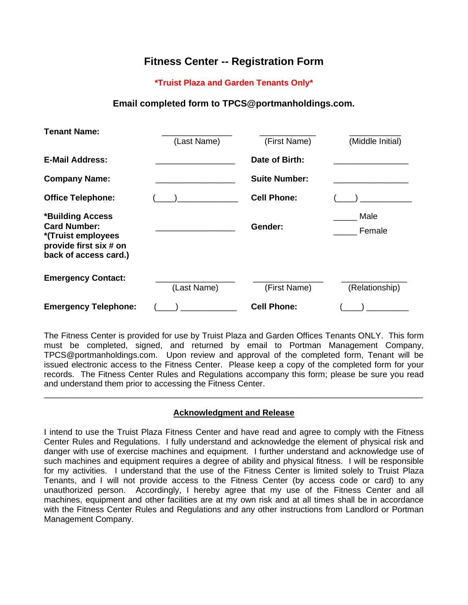## **Fitness Center -- Registration Form**

#### **\*Truist Plaza and Garden Tenants Only\***

### **Email completed form to TPCS@portmanholdings.com.**

| <b>Tenant Name:</b>                                                                                              |             |                      |                  |
|------------------------------------------------------------------------------------------------------------------|-------------|----------------------|------------------|
|                                                                                                                  | (Last Name) | (First Name)         | (Middle Initial) |
| <b>E-Mail Address:</b>                                                                                           |             | Date of Birth:       |                  |
| <b>Company Name:</b>                                                                                             |             | <b>Suite Number:</b> |                  |
| <b>Office Telephone:</b>                                                                                         |             | <b>Cell Phone:</b>   |                  |
| *Building Access<br><b>Card Number:</b><br>*(Truist employees<br>provide first six # on<br>back of access card.) |             | Gender:              | Male<br>Female   |
| <b>Emergency Contact:</b>                                                                                        | (Last Name) | (First Name)         | (Relationship)   |
| <b>Emergency Telephone:</b>                                                                                      |             | <b>Cell Phone:</b>   |                  |

The Fitness Center is provided for use by Truist Plaza and Garden Offices Tenants ONLY. This form must be completed, signed, and returned by email to Portman Management Company, TPCS@portmanholdings.com. Upon review and approval of the completed form, Tenant will be issued electronic access to the Fitness Center. Please keep a copy of the completed form for your records. The Fitness Center Rules and Regulations accompany this form; please be sure you read and understand them prior to accessing the Fitness Center.

#### **Acknowledgment and Release**

\_\_\_\_\_\_\_\_\_\_\_\_\_\_\_\_\_\_\_\_\_\_\_\_\_\_\_\_\_\_\_\_\_\_\_\_\_\_\_\_\_\_\_\_\_\_\_\_\_\_\_\_\_\_\_\_\_\_\_\_\_\_\_\_\_\_\_\_\_\_\_\_\_\_\_\_\_\_\_\_\_

I intend to use the Truist Plaza Fitness Center and have read and agree to comply with the Fitness Center Rules and Regulations. I fully understand and acknowledge the element of physical risk and danger with use of exercise machines and equipment. I further understand and acknowledge use of such machines and equipment requires a degree of ability and physical fitness. I will be responsible for my activities. I understand that the use of the Fitness Center is limited solely to Truist Plaza Tenants, and I will not provide access to the Fitness Center (by access code or card) to any unauthorized person. Accordingly, I hereby agree that my use of the Fitness Center and all machines, equipment and other facilities are at my own risk and at all times shall be in accordance with the Fitness Center Rules and Regulations and any other instructions from Landlord or Portman Management Company.